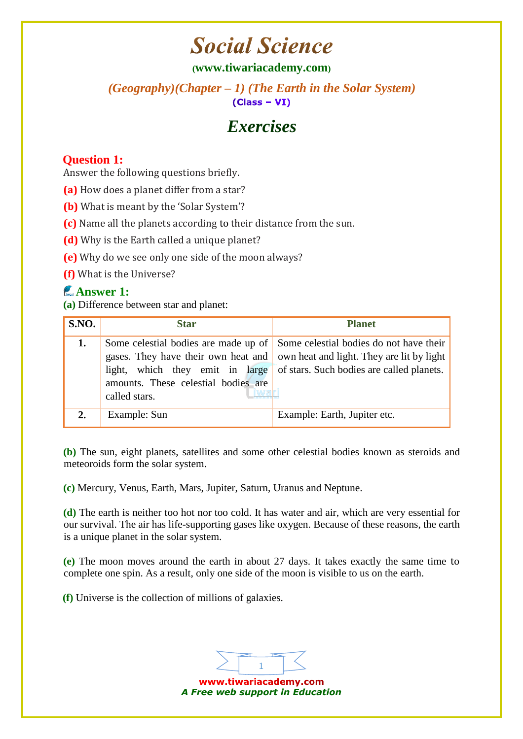# **Social Science**

**([www.tiwariacademy.com](http://www.tiwariacademy.com/))**

*(Geography)(Chapter – 1) (The Earth in the Solar System)*   $(Class - VI)$ 

# *Exercises*

### **Question 1:**

Answer the following questions briefly.

**(a)** How does a planet differ from a star?

**(b)** What is meant by the 'Solar System'?

**(c)** Name all the planets according [to](http://www.tiwariacademy.com/) their distance from the sun.

**(d)** Why is the Earth called a unique planet?

**(e)** Why do we see only one side of the moon always?

**(f)** What is the Universe?

## **Answer 1:**

**(a)** Difference between star and planet:

| <b>S.NO.</b> | <b>Star</b>                                                                             | <b>Planet</b>                                                                                                                                                                                              |
|--------------|-----------------------------------------------------------------------------------------|------------------------------------------------------------------------------------------------------------------------------------------------------------------------------------------------------------|
| 1.           | light, which they emit in large<br>amounts. These celestial bodies are<br>called stars. | Some celestial bodies are made up of Some celestial bodies do not have their<br>gases. They have their own heat and own heat and light. They are lit by light<br>of stars. Such bodies are called planets. |
|              | Example: Sun                                                                            | Example: Earth, Jupiter etc.                                                                                                                                                                               |

**(b)** The sun, eight planets, satellites and some other celestial bodies known as steroids and meteoroids form the solar system.

**(c)** Mercury, Venus, Earth, Mars, Jupiter, Saturn, Uranus and Neptune.

**(d)** The earth is neither too hot nor too cold. It has water and air, which are very essential for our survival. The air has life-supporting gases like oxygen. Because of these reasons, the earth is a unique planet in the solar system.

**(e)** The moon moves around the earth in about 27 days. It takes exactly the same time [to](http://www.tiwariacademy.com/) complete one spin. As a result, only one side of the moon is visible to us on the earth.

**(f)** Universe is the collection of millions of galaxies.

1

www.tiwariacademy.com *A Free web support in Education*